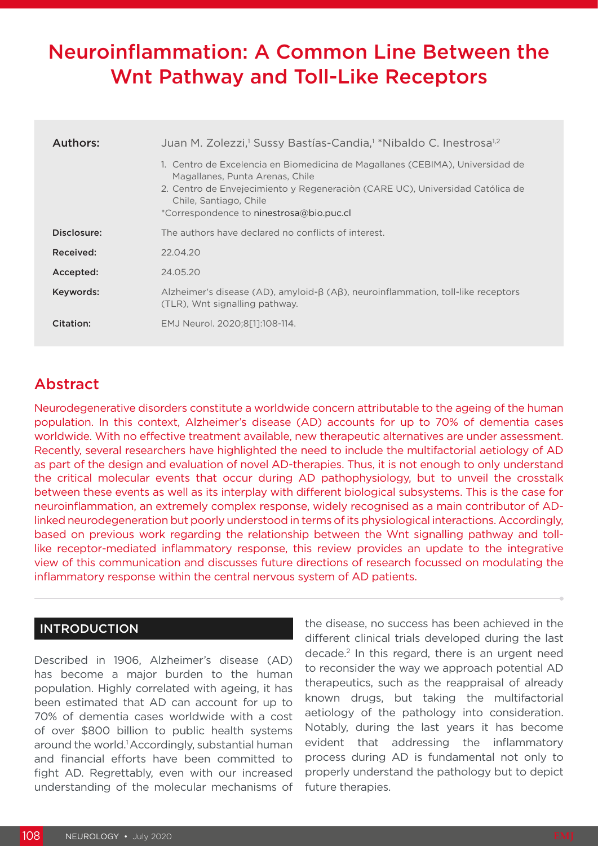# Neuroinflammation: A Common Line Between the Wnt Pathway and Toll-Like Receptors

| Authors:    | Juan M. Zolezzi, <sup>1</sup> Sussy Bastías-Candia, <sup>1</sup> *Nibaldo C. Inestrosa <sup>1,2</sup><br>1. Centro de Excelencia en Biomedicina de Magallanes (CEBIMA), Universidad de<br>Magallanes, Punta Arenas, Chile<br>2. Centro de Envejecimiento y Regeneración (CARE UC), Universidad Católica de<br>Chile, Santiago, Chile<br>*Correspondence to ninestrosa@bio.puc.cl |
|-------------|----------------------------------------------------------------------------------------------------------------------------------------------------------------------------------------------------------------------------------------------------------------------------------------------------------------------------------------------------------------------------------|
| Disclosure: | The authors have declared no conflicts of interest.                                                                                                                                                                                                                                                                                                                              |
| Received:   | 22.04.20                                                                                                                                                                                                                                                                                                                                                                         |
| Accepted:   | 24.05.20                                                                                                                                                                                                                                                                                                                                                                         |
| Keywords:   | Alzheimer's disease (AD), amyloid- $\beta$ (A $\beta$ ), neuroinflammation, toll-like receptors<br>(TLR), Wnt signalling pathway.                                                                                                                                                                                                                                                |
| Citation:   | EMJ Neurol. 2020:8[1]:108-114.                                                                                                                                                                                                                                                                                                                                                   |

# Abstract

Neurodegenerative disorders constitute a worldwide concern attributable to the ageing of the human population. In this context, Alzheimer's disease (AD) accounts for up to 70% of dementia cases worldwide. With no effective treatment available, new therapeutic alternatives are under assessment. Recently, several researchers have highlighted the need to include the multifactorial aetiology of AD as part of the design and evaluation of novel AD-therapies. Thus, it is not enough to only understand the critical molecular events that occur during AD pathophysiology, but to unveil the crosstalk between these events as well as its interplay with different biological subsystems. This is the case for neuroinflammation, an extremely complex response, widely recognised as a main contributor of ADlinked neurodegeneration but poorly understood in terms of its physiological interactions. Accordingly, based on previous work regarding the relationship between the Wnt signalling pathway and tolllike receptor-mediated inflammatory response, this review provides an update to the integrative view of this communication and discusses future directions of research focussed on modulating the inflammatory response within the central nervous system of AD patients.

## INTRODUCTION

Described in 1906, Alzheimer's disease (AD) has become a major burden to the human population. Highly correlated with ageing, it has been estimated that AD can account for up to 70% of dementia cases worldwide with a cost of over \$800 billion to public health systems around the world.1 Accordingly, substantial human and financial efforts have been committed to fight AD. Regrettably, even with our increased understanding of the molecular mechanisms of the disease, no success has been achieved in the different clinical trials developed during the last decade.2 In this regard, there is an urgent need to reconsider the way we approach potential AD therapeutics, such as the reappraisal of already known drugs, but taking the multifactorial aetiology of the pathology into consideration. Notably, during the last years it has become evident that addressing the inflammatory process during AD is fundamental not only to properly understand the pathology but to depict future therapies.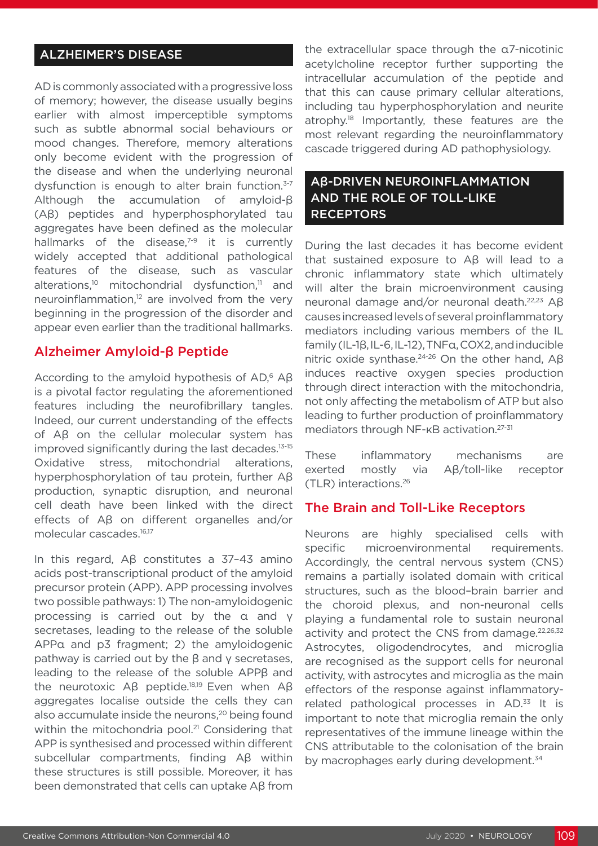# ALZHEIMER'S DISEASE

AD is commonly associated with a progressive loss of memory; however, the disease usually begins earlier with almost imperceptible symptoms such as subtle abnormal social behaviours or mood changes. Therefore, memory alterations only become evident with the progression of the disease and when the underlying neuronal dysfunction is enough to alter brain function.<sup>3-7</sup> Although the accumulation of amyloid-β (Aβ) peptides and hyperphosphorylated tau aggregates have been defined as the molecular hallmarks of the disease, $7-9$  it is currently widely accepted that additional pathological features of the disease, such as vascular alterations,<sup>10</sup> mitochondrial dysfunction,<sup>11</sup> and neuroinflammation,<sup>12</sup> are involved from the very beginning in the progression of the disorder and appear even earlier than the traditional hallmarks.

# Alzheimer Amyloid-β Peptide

According to the amyloid hypothesis of AD,<sup>6</sup> Aβ is a pivotal factor regulating the aforementioned features including the neurofibrillary tangles. Indeed, our current understanding of the effects of Aβ on the cellular molecular system has improved significantly during the last decades.13-15 Oxidative stress, mitochondrial alterations, hyperphosphorylation of tau protein, further Aβ production, synaptic disruption, and neuronal cell death have been linked with the direct effects of Aβ on different organelles and/or molecular cascades.16,17

In this regard, Aβ constitutes a 37–43 amino acids post-transcriptional product of the amyloid precursor protein (APP). APP processing involves two possible pathways: 1) The non-amyloidogenic processing is carried out by the α and γ secretases, leading to the release of the soluble APPα and p3 fragment; 2) the amyloidogenic pathway is carried out by the β and γ secretases, leading to the release of the soluble APPβ and the neurotoxic Aβ peptide.<sup>18,19</sup> Even when Aβ aggregates localise outside the cells they can also accumulate inside the neurons,<sup>20</sup> being found within the mitochondria pool.<sup>21</sup> Considering that APP is synthesised and processed within different subcellular compartments, finding Aβ within these structures is still possible. Moreover, it has been demonstrated that cells can uptake Aβ from

the extracellular space through the α7-nicotinic acetylcholine receptor further supporting the intracellular accumulation of the peptide and that this can cause primary cellular alterations, including tau hyperphosphorylation and neurite atrophy.18 Importantly, these features are the most relevant regarding the neuroinflammatory cascade triggered during AD pathophysiology.

# Aβ-DRIVEN NEUROINFLAMMATION AND THE ROLE OF TOLL-LIKE **RECEPTORS**

During the last decades it has become evident that sustained exposure to Aβ will lead to a chronic inflammatory state which ultimately will alter the brain microenvironment causing neuronal damage and/or neuronal death.22,23 Aβ causes increased levels of several proinflammatory mediators including various members of the IL family (IL-1β, IL-6, IL-12), TNFα, COX2, and inducible nitric oxide synthase.<sup>24-26</sup> On the other hand, Aβ induces reactive oxygen species production through direct interaction with the mitochondria, not only affecting the metabolism of ATP but also leading to further production of proinflammatory mediators through NF-κB activation.<sup>27-31</sup>

These inflammatory mechanisms are exerted mostly via Aβ/toll-like receptor (TLR) interactions.26

### The Brain and Toll-Like Receptors

Neurons are highly specialised cells with specific microenvironmental requirements. Accordingly, the central nervous system (CNS) remains a partially isolated domain with critical structures, such as the blood–brain barrier and the choroid plexus, and non-neuronal cells playing a fundamental role to sustain neuronal activity and protect the CNS from damage.<sup>22,26,32</sup> Astrocytes, oligodendrocytes, and microglia are recognised as the support cells for neuronal activity, with astrocytes and microglia as the main effectors of the response against inflammatoryrelated pathological processes in AD.<sup>33</sup> It is important to note that microglia remain the only representatives of the immune lineage within the CNS attributable to the colonisation of the brain by macrophages early during development.<sup>34</sup>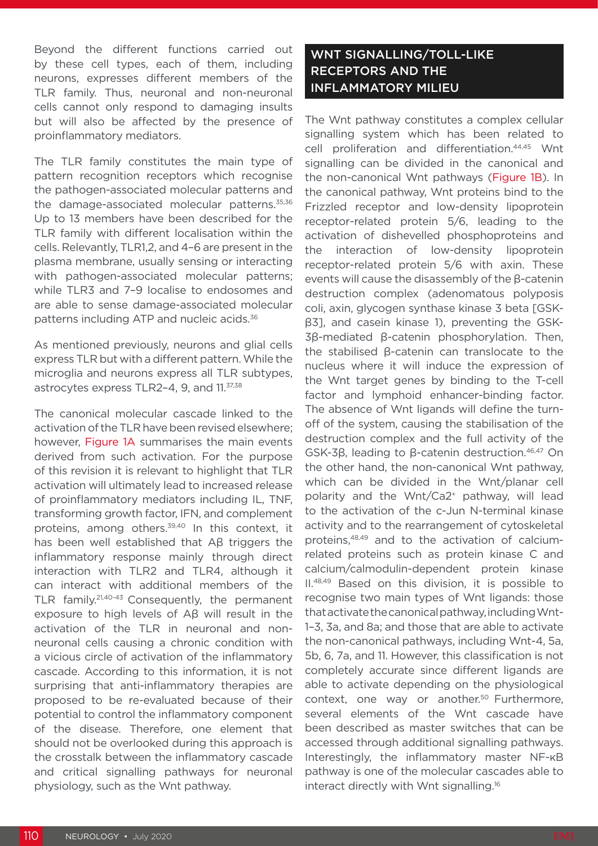Beyond the different functions carried out by these cell types, each of them, including neurons, expresses different members of the TLR family. Thus, neuronal and non-neuronal cells cannot only respond to damaging insults but will also be affected by the presence of proinflammatory mediators.

The TLR family constitutes the main type of pattern recognition receptors which recognise the pathogen-associated molecular patterns and the damage-associated molecular patterns.<sup>35,36</sup> Up to 13 members have been described for the TLR family with different localisation within the cells. Relevantly, TLR1,2, and 4–6 are present in the plasma membrane, usually sensing or interacting with pathogen-associated molecular patterns; while TLR3 and 7–9 localise to endosomes and are able to sense damage-associated molecular patterns including ATP and nucleic acids.36

As mentioned previously, neurons and glial cells express TLR but with a different pattern. While the microglia and neurons express all TLR subtypes, astrocytes express TLR2-4, 9, and 11.<sup>37,38</sup>

The canonical molecular cascade linked to the activation of the TLR have been revised elsewhere; however, Figure 1A summarises the main events derived from such activation. For the purpose of this revision it is relevant to highlight that TLR activation will ultimately lead to increased release of proinflammatory mediators including IL, TNF, transforming growth factor, IFN, and complement proteins, among others.<sup>39,40</sup> In this context, it has been well established that Aβ triggers the inflammatory response mainly through direct interaction with TLR2 and TLR4, although it can interact with additional members of the TLR family.21,40-43 Consequently, the permanent exposure to high levels of Aβ will result in the activation of the TLR in neuronal and nonneuronal cells causing a chronic condition with a vicious circle of activation of the inflammatory cascade. According to this information, it is not surprising that anti-inflammatory therapies are proposed to be re-evaluated because of their potential to control the inflammatory component of the disease. Therefore, one element that should not be overlooked during this approach is the crosstalk between the inflammatory cascade and critical signalling pathways for neuronal physiology, such as the Wnt pathway.

# WNT SIGNALLING/TOLL-LIKE RECEPTORS AND THE INFLAMMATORY MILIEU

The Wnt pathway constitutes a complex cellular signalling system which has been related to cell proliferation and differentiation.44,45 Wnt signalling can be divided in the canonical and the non-canonical Wnt pathways (Figure 1B). In the canonical pathway, Wnt proteins bind to the Frizzled receptor and low-density lipoprotein receptor-related protein 5/6, leading to the activation of dishevelled phosphoproteins and the interaction of low-density lipoprotein receptor-related protein 5/6 with axin. These events will cause the disassembly of the β-catenin destruction complex (adenomatous polyposis coli, axin, glycogen synthase kinase 3 beta [GSKβ3], and casein kinase 1), preventing the GSK-3β-mediated β-catenin phosphorylation. Then, the stabilised β-catenin can translocate to the nucleus where it will induce the expression of the Wnt target genes by binding to the T-cell factor and lymphoid enhancer-binding factor. The absence of Wnt ligands will define the turnoff of the system, causing the stabilisation of the destruction complex and the full activity of the GSK-3β, leading to β-catenin destruction.46,47 On the other hand, the non-canonical Wnt pathway, which can be divided in the Wnt/planar cell polarity and the Wnt/Ca2+ pathway, will lead to the activation of the c-Jun N-terminal kinase activity and to the rearrangement of cytoskeletal proteins,48,49 and to the activation of calciumrelated proteins such as protein kinase C and calcium/calmodulin-dependent protein kinase II.48,49 Based on this division, it is possible to recognise two main types of Wnt ligands: those that activate the canonical pathway, including Wnt-1–3, 3a, and 8a; and those that are able to activate the non-canonical pathways, including Wnt-4, 5a, 5b, 6, 7a, and 11. However, this classification is not completely accurate since different ligands are able to activate depending on the physiological context, one way or another.<sup>50</sup> Furthermore, several elements of the Wnt cascade have been described as master switches that can be accessed through additional signalling pathways. Interestingly, the inflammatory master NF-κB pathway is one of the molecular cascades able to interact directly with Wnt signalling.16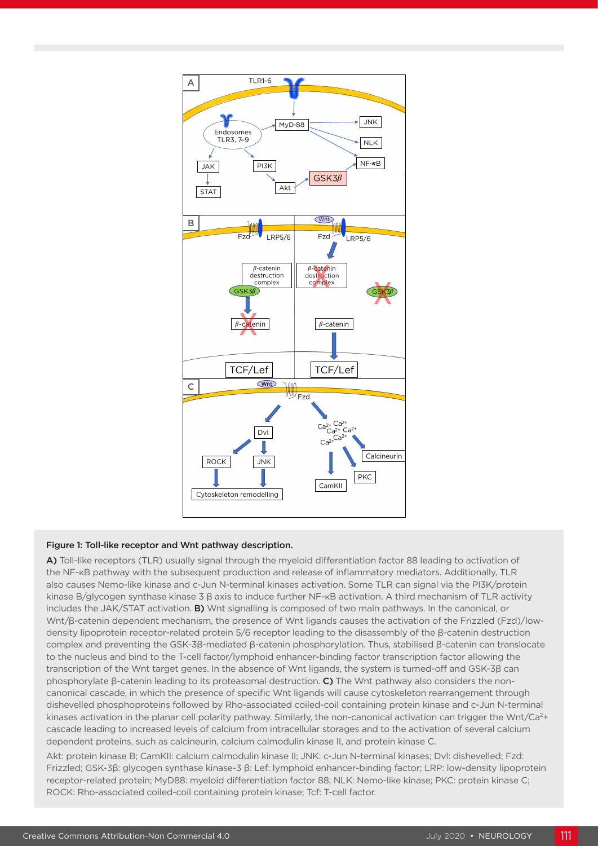

#### Figure 1: Toll-like receptor and Wnt pathway description.

A) Toll-like receptors (TLR) usually signal through the myeloid differentiation factor 88 leading to activation of the NF-κB pathway with the subsequent production and release of inflammatory mediators. Additionally, TLR also causes Nemo-like kinase and c-Jun N-terminal kinases activation. Some TLR can signal via the PI3K/protein kinase B/glycogen synthase kinase 3 β axis to induce further NF-κB activation. A third mechanism of TLR activity includes the JAK/STAT activation. **B)** Wnt signalling is composed of two main pathways. In the canonical, or Wnt/β-catenin dependent mechanism, the presence of Wnt ligands causes the activation of the Frizzled (Fzd)/lowdensity lipoprotein receptor-related protein 5/6 receptor leading to the disassembly of the β-catenin destruction complex and preventing the GSK-3β-mediated β-catenin phosphorylation. Thus, stabilised β-catenin can translocate to the nucleus and bind to the T-cell factor/lymphoid enhancer-binding factor transcription factor allowing the transcription of the Wnt target genes. In the absence of Wnt ligands, the system is turned-off and GSK-3β can phosphorylate β-catenin leading to its proteasomal destruction. C) The Wnt pathway also considers the noncanonical cascade, in which the presence of specific Wnt ligands will cause cytoskeleton rearrangement through dishevelled phosphoproteins followed by Rho-associated coiled-coil containing protein kinase and c-Jun N-terminal kinases activation in the planar cell polarity pathway. Similarly, the non-canonical activation can trigger the Wnt/Ca<sup>2+</sup> cascade leading to increased levels of calcium from intracellular storages and to the activation of several calcium dependent proteins, such as calcineurin, calcium calmodulin kinase II, and protein kinase C.

Akt: protein kinase B; CamKII: calcium calmodulin kinase II; JNK: c-Jun N-terminal kinases; Dvl: dishevelled; Fzd: Frizzled; GSK-3β: glycogen synthase kinase-3 β: Lef: lymphoid enhancer-binding factor; LRP: low-density lipoprotein receptor-related protein; MyD88: myeloid differentiation factor 88; NLK: Nemo-like kinase; PKC: protein kinase C; ROCK: Rho-associated coiled-coil containing protein kinase; Tcf: T-cell factor.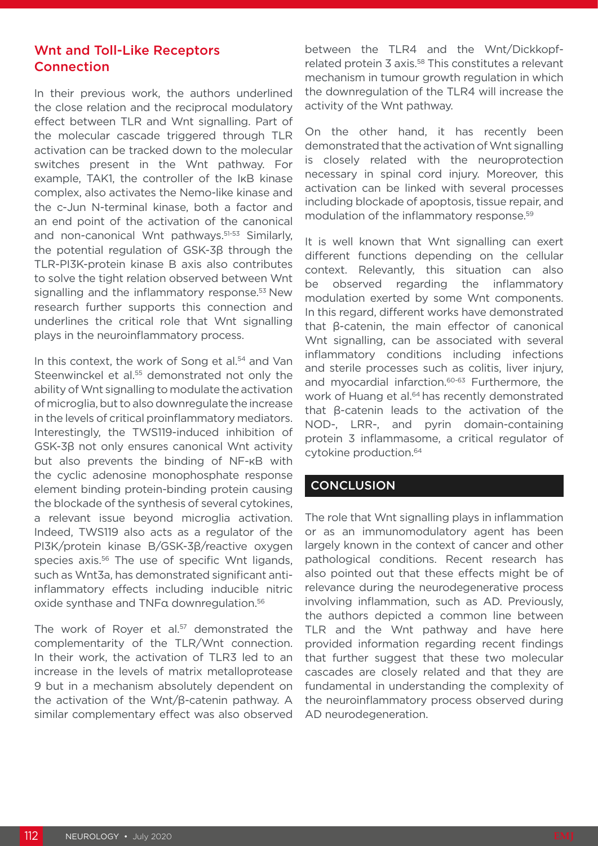# Wnt and Toll-Like Receptors **Connection**

In their previous work, the authors underlined the close relation and the reciprocal modulatory effect between TLR and Wnt signalling. Part of the molecular cascade triggered through TLR activation can be tracked down to the molecular switches present in the Wnt pathway. For example, TAK1, the controller of the IκB kinase complex, also activates the Nemo-like kinase and the c-Jun N-terminal kinase, both a factor and an end point of the activation of the canonical and non-canonical Wnt pathways.<sup>51-53</sup> Similarly, the potential regulation of GSK-3β through the TLR-PI3K-protein kinase B axis also contributes to solve the tight relation observed between Wnt signalling and the inflammatory response.<sup>53</sup> New research further supports this connection and underlines the critical role that Wnt signalling plays in the neuroinflammatory process.

In this context, the work of Song et al.<sup>54</sup> and Van Steenwinckel et al.<sup>55</sup> demonstrated not only the ability of Wnt signalling to modulate the activation of microglia, but to also downregulate the increase in the levels of critical proinflammatory mediators. Interestingly, the TWS119-induced inhibition of GSK-3β not only ensures canonical Wnt activity but also prevents the binding of NF-κB with the cyclic adenosine monophosphate response element binding protein-binding protein causing the blockade of the synthesis of several cytokines, a relevant issue beyond microglia activation. Indeed, TWS119 also acts as a regulator of the PI3K/protein kinase B/GSK-3β/reactive oxygen species axis.<sup>56</sup> The use of specific Wnt ligands, such as Wnt3a, has demonstrated significant antiinflammatory effects including inducible nitric oxide synthase and TNFα downregulation.56

The work of Royer et al.<sup>57</sup> demonstrated the complementarity of the TLR/Wnt connection. In their work, the activation of TLR3 led to an increase in the levels of matrix metalloprotease 9 but in a mechanism absolutely dependent on the activation of the Wnt/β-catenin pathway. A similar complementary effect was also observed between the TLR4 and the Wnt/Dickkopfrelated protein 3 axis.<sup>58</sup> This constitutes a relevant mechanism in tumour growth regulation in which the downregulation of the TLR4 will increase the activity of the Wnt pathway.

On the other hand, it has recently been demonstrated that the activation of Wnt signalling is closely related with the neuroprotection necessary in spinal cord injury. Moreover, this activation can be linked with several processes including blockade of apoptosis, tissue repair, and modulation of the inflammatory response.59

It is well known that Wnt signalling can exert different functions depending on the cellular context. Relevantly, this situation can also be observed regarding the inflammatory modulation exerted by some Wnt components. In this regard, different works have demonstrated that β-catenin, the main effector of canonical Wnt signalling, can be associated with several inflammatory conditions including infections and sterile processes such as colitis, liver injury, and myocardial infarction.60-63 Furthermore, the work of Huang et al.<sup>64</sup> has recently demonstrated that β-catenin leads to the activation of the NOD-, LRR-, and pyrin domain-containing protein 3 inflammasome, a critical regulator of cytokine production.64

### **CONCLUSION**

The role that Wnt signalling plays in inflammation or as an immunomodulatory agent has been largely known in the context of cancer and other pathological conditions. Recent research has also pointed out that these effects might be of relevance during the neurodegenerative process involving inflammation, such as AD. Previously, the authors depicted a common line between TLR and the Wnt pathway and have here provided information regarding recent findings that further suggest that these two molecular cascades are closely related and that they are fundamental in understanding the complexity of the neuroinflammatory process observed during AD neurodegeneration.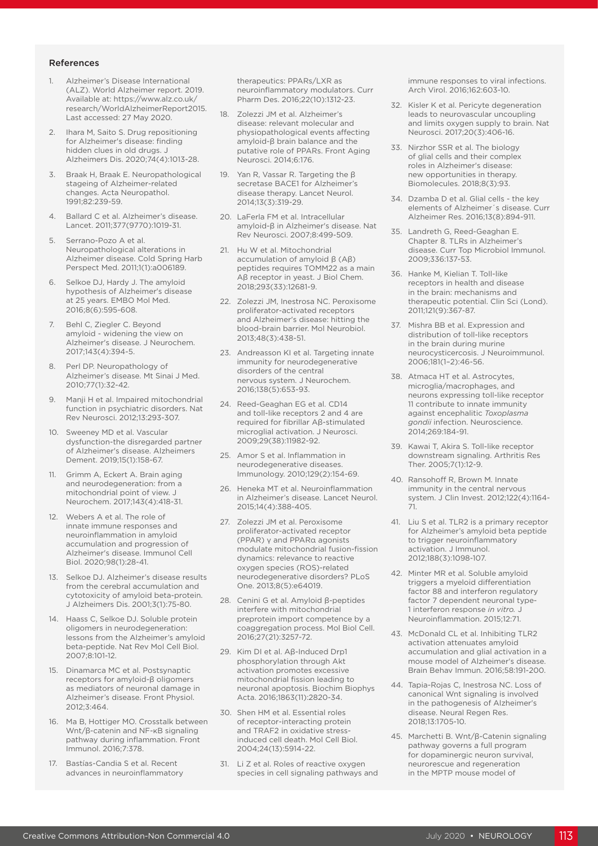#### References

- 1. Alzheimer's Disease International (ALZ). World Alzheimer report. 2019. Available at: https://www.alz.co.uk/ research/WorldAlzheimerReport2015. Last accessed: 27 May 2020.
- 2. Ihara M, Saito S. Drug repositioning for Alzheimer's disease: finding hidden clues in old drugs. J Alzheimers Dis. 2020;74(4):1013-28.
- 3. Braak H, Braak E. Neuropathological stageing of Alzheimer-related changes. Acta Neuropathol. 1991;82:239-59.
- 4. Ballard C et al. Alzheimer's disease. Lancet. 2011;377(9770):1019-31.
- 5. Serrano-Pozo A et al. Neuropathological alterations in Alzheimer disease. Cold Spring Harb Perspect Med. 2011;1(1):a006189.
- 6. Selkoe DJ, Hardy J. The amyloid hypothesis of Alzheimer's disease at 25 years. EMBO Mol Med. 2016;8(6):595-608.
- 7. Behl C, Ziegler C. Beyond amyloid - widening the view on Alzheimer's disease. J Neurochem. 2017;143(4):394-5.
- 8. Perl DP. Neuropathology of Alzheimer's disease. Mt Sinai J Med. 2010;77(1):32-42.
- 9. Manji H et al. Impaired mitochondrial function in psychiatric disorders. Nat Rev Neurosci. 2012;13:293-307.
- 10. Sweeney MD et al. Vascular dysfunction-the disregarded partner of Alzheimer's disease. Alzheimers Dement. 2019;15(1):158-67.
- 11. Grimm A, Eckert A. Brain aging and neurodegeneration: from a mitochondrial point of view. J Neurochem. 2017;143(4):418-31.
- 12. Webers A et al. The role of innate immune responses and neuroinflammation in amyloid accumulation and progression of Alzheimer's disease. Immunol Cell Biol. 2020;98(1):28-41.
- 13. Selkoe DJ. Alzheimer's disease results from the cerebral accumulation and cytotoxicity of amyloid beta-protein. J Alzheimers Dis. 2001;3(1):75-80.
- 14. Haass C, Selkoe DJ. Soluble protein oligomers in neurodegeneration: lessons from the Alzheimer's amyloid beta-peptide. Nat Rev Mol Cell Biol. 2007;8:101-12.
- 15. Dinamarca MC et al. Postsynaptic receptors for amyloid-β oligomers as mediators of neuronal damage in Alzheimer's disease. Front Physiol. 2012;3:464.
- 16. Ma B, Hottiger MO. Crosstalk between Wnt/β-catenin and NF-κB signaling pathway during inflammation. Front Immunol. 2016;7:378.
- 17. Bastías-Candia S et al. Recent advances in neuroinflammatory

therapeutics: PPARs/LXR as neuroinflammatory modulators. Curr Pharm Des. 2016;22(10):1312-23.

- 18. Zolezzi JM et al. Alzheimer's disease: relevant molecular and physiopathological events affecting amyloid-β brain balance and the putative role of PPARs. Front Aging Neurosci. 2014;6:176.
- 19. Yan R, Vassar R. Targeting the β secretase BACE1 for Alzheimer's disease therapy. Lancet Neurol. 2014;13(3):319-29.
- 20. LaFerla FM et al. Intracellular amyloid-β in Alzheimer's disease. Nat Rev Neurosci. 2007;8:499-509.
- 21. Hu W et al. Mitochondrial accumulation of amyloid β (Aβ) peptides requires TOMM22 as a main Aβ receptor in yeast. J Biol Chem. 2018;293(33):12681-9.
- 22. Zolezzi JM, Inestrosa NC. Peroxisome proliferator-activated receptors and Alzheimer's disease: hitting the blood-brain barrier. Mol Neurobiol. 2013;48(3):438-51.
- 23. Andreasson KI et al. Targeting innate immunity for neurodegenerative disorders of the central nervous system. J Neurochem. 2016;138(5):653-93.
- 24. Reed-Geaghan EG et al. CD14 and toll-like receptors 2 and 4 are required for fibrillar Aβ-stimulated microglial activation. J Neurosci. 2009;29(38):11982-92.
- 25. Amor S et al. Inflammation in neurodegenerative diseases. Immunology. 2010;129(2):154-69.
- 26. Heneka MT et al. Neuroinflammation in Alzheimer's disease. Lancet Neurol. 2015;14(4):388-405.
- 27. Zolezzi JM et al. Peroxisome proliferator-activated receptor (PPAR) γ and PPARα agonists modulate mitochondrial fusion-fission dynamics: relevance to reactive oxygen species (ROS)-related neurodegenerative disorders? PLoS One. 2013;8(5):e64019.
- 28. Cenini G et al. Amyloid β-peptides interfere with mitochondrial preprotein import competence by a coaggregation process. Mol Biol Cell. 2016;27(21):3257-72.
- 29. Kim DI et al. Aβ-Induced Drp1 phosphorylation through Akt activation promotes excessive mitochondrial fission leading to neuronal apoptosis. Biochim Biophys Acta. 2016;1863(11):2820-34.
- 30. Shen HM et al. Essential roles of receptor-interacting protein and TRAF2 in oxidative stressinduced cell death. Mol Cell Biol. 2004;24(13):5914-22.
- 31. Li Z et al. Roles of reactive oxygen species in cell signaling pathways and

immune responses to viral infections. Arch Virol. 2016;162:603-10.

- 32. Kisler K et al. Pericyte degeneration leads to neurovascular uncoupling and limits oxygen supply to brain. Nat Neurosci. 2017;20(3):406-16.
- 33. Nirzhor SSR et al. The biology of glial cells and their complex roles in Alzheimer's disease: new opportunities in therapy. Biomolecules. 2018;8(3):93.
- 34. Dzamba D et al. Glial cells the key elements of Alzheimer´s disease. Curr Alzheimer Res. 2016;13(8):894-911.
- 35. Landreth G, Reed-Geaghan E. Chapter 8. TLRs in Alzheimer's disease. Curr Top Microbiol Immunol. 2009;336:137-53.
- 36. Hanke M, Kielian T. Toll-like receptors in health and disease in the brain: mechanisms and therapeutic potential. Clin Sci (Lond). 2011;121(9):367-87.
- 37. Mishra BB et al. Expression and distribution of toll-like receptors in the brain during murine neurocysticercosis. J Neuroimmunol. 2006;181(1–2):46-56.
- 38. Atmaca HT et al. Astrocytes, microglia/macrophages, and neurons expressing toll-like receptor 11 contribute to innate immunity against encephalitic *Toxoplasma gondii* infection. Neuroscience. 2014;269:184-91.
- 39. Kawai T, Akira S. Toll-like receptor downstream signaling. Arthritis Res Ther. 2005;7(1):12-9.
- 40. Ransohoff R, Brown M. Innate immunity in the central nervous system. J Clin Invest. 2012;122(4):1164- 71.
- 41. Liu S et al. TLR2 is a primary receptor for Alzheimer's amyloid beta peptide to trigger neuroinflammatory activation. J Immunol. 2012;188(3):1098-107.
- 42. Minter MR et al. Soluble amyloid triggers a myeloid differentiation factor 88 and interferon regulatory factor 7 dependent neuronal type-1 interferon response *in vitro.* J Neuroinflammation. 2015;12:71.
- 43. McDonald CL et al. Inhibiting TLR2 activation attenuates amyloid accumulation and glial activation in a mouse model of Alzheimer's disease. Brain Behav Immun. 2016;58:191-200.
- 44. Tapia-Rojas C, Inestrosa NC. Loss of canonical Wnt signaling is involved in the pathogenesis of Alzheimer's disease. Neural Regen Res. 2018;13:1705-10.
- 45. Marchetti B. Wnt/β-Catenin signaling pathway governs a full program for dopaminergic neuron survival, neurorescue and regeneration in the MPTP mouse model of